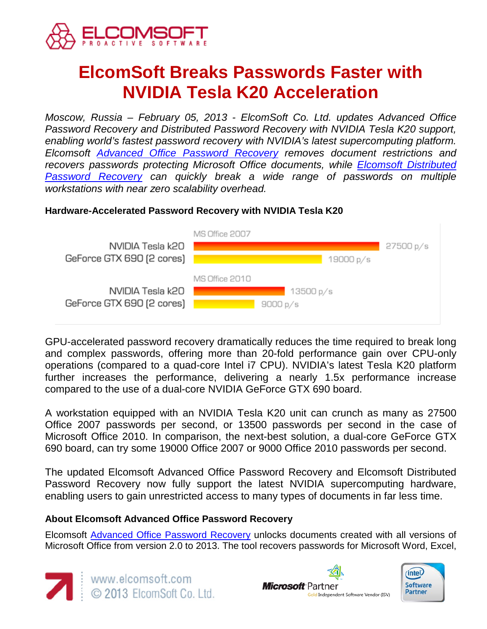

# **ElcomSoft Breaks Passwords Faster with NVIDIA Tesla K20 Acceleration**

*Moscow, Russia – February 05, 2013 - ElcomSoft Co. Ltd. updates Advanced Office Password Recovery and Distributed Password Recovery with NVIDIA Tesla K20 support, enabling world's fastest password recovery with NVIDIA's latest supercomputing platform. Elcomsoft [Advanced Office Password Recovery](http://www.elcomsoft.com/aopr.html) removes document restrictions and recovers passwords protecting Microsoft Office documents, while [Elcomsoft Distributed](http://www.elcomsoft.com/edpr.html)  [Password Recovery](http://www.elcomsoft.com/edpr.html) can quickly break a wide range of passwords on multiple workstations with near zero scalability overhead.*

### **Hardware-Accelerated Password Recovery with NVIDIA Tesla K20**



GPU-accelerated password recovery dramatically reduces the time required to break long and complex passwords, offering more than 20-fold performance gain over CPU-only operations (compared to a quad-core Intel i7 CPU). NVIDIA's latest Tesla K20 platform further increases the performance, delivering a nearly 1.5x performance increase compared to the use of a dual-core NVIDIA GeForce GTX 690 board.

A workstation equipped with an NVIDIA Tesla K20 unit can crunch as many as 27500 Office 2007 passwords per second, or 13500 passwords per second in the case of Microsoft Office 2010. In comparison, the next-best solution, a dual-core GeForce GTX 690 board, can try some 19000 Office 2007 or 9000 Office 2010 passwords per second.

The updated Elcomsoft Advanced Office Password Recovery and Elcomsoft Distributed Password Recovery now fully support the latest NVIDIA supercomputing hardware, enabling users to gain unrestricted access to many types of documents in far less time.

## **About Elcomsoft Advanced Office Password Recovery**

Elcomsoft [Advanced Office Password Recovery](http://www.elcomsoft.com/aopr.html) unlocks documents created with all versions of Microsoft Office from version 2.0 to 2013. The tool recovers passwords for Microsoft Word, Excel,